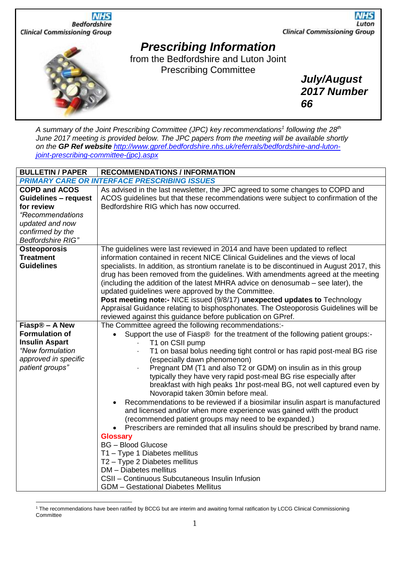

*A summary of the Joint Prescribing Committee (JPC) key recommendations<sup>1</sup> following the 28 th June 2017 meeting is provided below. The JPC papers from the meeting will be available shortly on the GP Ref website [http://www.gpref.bedfordshire.nhs.uk/referrals/bedfordshire-and-luton](http://www.gpref.bedfordshire.nhs.uk/referrals/bedfordshire-and-luton-joint-prescribing-committee-(jpc).aspx)[joint-prescribing-committee-\(jpc\).aspx](http://www.gpref.bedfordshire.nhs.uk/referrals/bedfordshire-and-luton-joint-prescribing-committee-(jpc).aspx)*

| <b>BULLETIN / PAPER</b>                             | <b>RECOMMENDATIONS / INFORMATION</b>                                                       |  |
|-----------------------------------------------------|--------------------------------------------------------------------------------------------|--|
| <b>PRIMARY CARE OR INTERFACE PRESCRIBING ISSUES</b> |                                                                                            |  |
| <b>COPD and ACOS</b>                                | As advised in the last newsletter, the JPC agreed to some changes to COPD and              |  |
| <b>Guidelines - request</b>                         | ACOS guidelines but that these recommendations were subject to confirmation of the         |  |
| for review                                          | Bedfordshire RIG which has now occurred.                                                   |  |
| "Recommendations                                    |                                                                                            |  |
| updated and now                                     |                                                                                            |  |
| confirmed by the                                    |                                                                                            |  |
| Bedfordshire RIG"                                   |                                                                                            |  |
| Osteoporosis                                        | The guidelines were last reviewed in 2014 and have been updated to reflect                 |  |
| <b>Treatment</b>                                    | information contained in recent NICE Clinical Guidelines and the views of local            |  |
| <b>Guidelines</b>                                   | specialists. In addition, as strontium ranelate is to be discontinued in August 2017, this |  |
|                                                     | drug has been removed from the guidelines. With amendments agreed at the meeting           |  |
|                                                     | (including the addition of the latest MHRA advice on denosumab - see later), the           |  |
|                                                     | updated guidelines were approved by the Committee.                                         |  |
|                                                     | Post meeting note:- NICE issued (9/8/17) unexpected updates to Technology                  |  |
|                                                     | Appraisal Guidance relating to bisphosphonates. The Osteoporosis Guidelines will be        |  |
|                                                     | reviewed against this guidance before publication on GPref.                                |  |
| Fiasp <sup>®</sup> – A New                          | The Committee agreed the following recommendations:-                                       |  |
| <b>Formulation of</b>                               | Support the use of Fiasp® for the treatment of the following patient groups:-              |  |
| <b>Insulin Aspart</b>                               | T1 on CSII pump                                                                            |  |
| "New formulation                                    | T1 on basal bolus needing tight control or has rapid post-meal BG rise                     |  |
| approved in specific                                | (especially dawn phenomenon)                                                               |  |
| patient groups"                                     | Pregnant DM (T1 and also T2 or GDM) on insulin as in this group                            |  |
|                                                     | typically they have very rapid post-meal BG rise especially after                          |  |
|                                                     | breakfast with high peaks 1hr post-meal BG, not well captured even by                      |  |
|                                                     | Novorapid taken 30min before meal.                                                         |  |
|                                                     | Recommendations to be reviewed if a biosimilar insulin aspart is manufactured<br>$\bullet$ |  |
|                                                     | and licensed and/or when more experience was gained with the product                       |  |
|                                                     | (recommended patient groups may need to be expanded.)                                      |  |
|                                                     | Prescribers are reminded that all insulins should be prescribed by brand name.             |  |
|                                                     | <b>Glossary</b>                                                                            |  |
|                                                     | <b>BG</b> - Blood Glucose                                                                  |  |
|                                                     | T1 - Type 1 Diabetes mellitus                                                              |  |
|                                                     | T2 - Type 2 Diabetes mellitus                                                              |  |
|                                                     | DM - Diabetes mellitus                                                                     |  |
|                                                     | CSII - Continuous Subcutaneous Insulin Infusion                                            |  |
|                                                     | <b>GDM</b> - Gestational Diabetes Mellitus                                                 |  |

<sup>1</sup> The recommendations have been ratified by BCCG but are interim and awaiting formal ratification by LCCG Clinical Commissioning **Committee**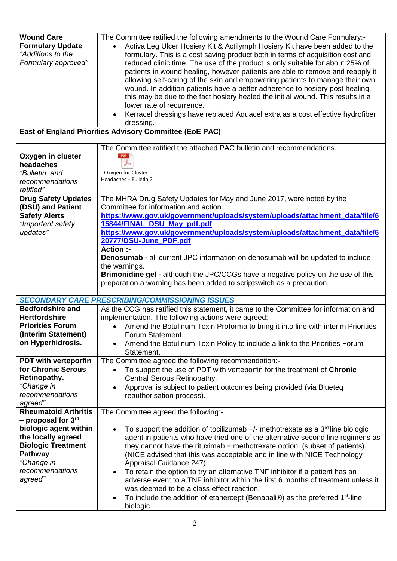| <b>Wound Care</b><br><b>Formulary Update</b><br>"Additions to the<br>Formulary approved" | The Committee ratified the following amendments to the Wound Care Formulary:-<br>Activa Leg Ulcer Hosiery Kit & Actilymph Hosiery Kit have been added to the<br>formulary. This is a cost saving product both in terms of acquisition cost and<br>reduced clinic time. The use of the product is only suitable for about 25% of<br>patients in wound healing, however patients are able to remove and reapply it<br>allowing self-caring of the skin and empowering patients to manage their own<br>wound. In addition patients have a better adherence to hosiery post healing,<br>this may be due to the fact hosiery healed the initial wound. This results in a<br>lower rate of recurrence.<br>Kerracel dressings have replaced Aquacel extra as a cost effective hydrofiber<br>dressing.<br>East of England Priorities Advisory Committee (EoE PAC) |
|------------------------------------------------------------------------------------------|-----------------------------------------------------------------------------------------------------------------------------------------------------------------------------------------------------------------------------------------------------------------------------------------------------------------------------------------------------------------------------------------------------------------------------------------------------------------------------------------------------------------------------------------------------------------------------------------------------------------------------------------------------------------------------------------------------------------------------------------------------------------------------------------------------------------------------------------------------------|
|                                                                                          | The Committee ratified the attached PAC bulletin and recommendations.                                                                                                                                                                                                                                                                                                                                                                                                                                                                                                                                                                                                                                                                                                                                                                                     |
| Oxygen in cluster<br>headaches                                                           |                                                                                                                                                                                                                                                                                                                                                                                                                                                                                                                                                                                                                                                                                                                                                                                                                                                           |
| "Bulletin and                                                                            | Oxygen for Cluster                                                                                                                                                                                                                                                                                                                                                                                                                                                                                                                                                                                                                                                                                                                                                                                                                                        |
| recommendations                                                                          | Headaches - Bulletin 2                                                                                                                                                                                                                                                                                                                                                                                                                                                                                                                                                                                                                                                                                                                                                                                                                                    |
| ratified"<br><b>Drug Safety Updates</b>                                                  | The MHRA Drug Safety Updates for May and June 2017, were noted by the                                                                                                                                                                                                                                                                                                                                                                                                                                                                                                                                                                                                                                                                                                                                                                                     |
| (DSU) and Patient                                                                        | Committee for information and action.                                                                                                                                                                                                                                                                                                                                                                                                                                                                                                                                                                                                                                                                                                                                                                                                                     |
| <b>Safety Alerts</b><br>"Important safety                                                | https://www.gov.uk/government/uploads/system/uploads/attachment_data/file/6<br>15844/FINAL_DSU_May_pdf.pdf                                                                                                                                                                                                                                                                                                                                                                                                                                                                                                                                                                                                                                                                                                                                                |
| updates"                                                                                 | https://www.gov.uk/government/uploads/system/uploads/attachment_data/file/6                                                                                                                                                                                                                                                                                                                                                                                                                                                                                                                                                                                                                                                                                                                                                                               |
|                                                                                          | 20777/DSU-June PDF.pdf                                                                                                                                                                                                                                                                                                                                                                                                                                                                                                                                                                                                                                                                                                                                                                                                                                    |
|                                                                                          | <b>Action :-</b><br><b>Denosumab</b> - all current JPC information on denosumab will be updated to include                                                                                                                                                                                                                                                                                                                                                                                                                                                                                                                                                                                                                                                                                                                                                |
|                                                                                          | the warnings.                                                                                                                                                                                                                                                                                                                                                                                                                                                                                                                                                                                                                                                                                                                                                                                                                                             |
|                                                                                          | Brimonidine gel - although the JPC/CCGs have a negative policy on the use of this<br>preparation a warning has been added to scriptswitch as a precaution.                                                                                                                                                                                                                                                                                                                                                                                                                                                                                                                                                                                                                                                                                                |
|                                                                                          | <b>SECONDARY CARE PRESCRIBING/COMMISSIONING ISSUES</b>                                                                                                                                                                                                                                                                                                                                                                                                                                                                                                                                                                                                                                                                                                                                                                                                    |
| <b>Bedfordshire and</b><br><b>Hertfordshire</b>                                          | As the CCG has ratified this statement, it came to the Committee for information and                                                                                                                                                                                                                                                                                                                                                                                                                                                                                                                                                                                                                                                                                                                                                                      |
| <b>Priorities Forum</b>                                                                  | implementation. The following actions were agreed:-<br>• Amend the Botulinum Toxin Proforma to bring it into line with interim Priorities                                                                                                                                                                                                                                                                                                                                                                                                                                                                                                                                                                                                                                                                                                                 |
| (Interim Statement)                                                                      | Forum Statement.                                                                                                                                                                                                                                                                                                                                                                                                                                                                                                                                                                                                                                                                                                                                                                                                                                          |
| on Hyperhidrosis.                                                                        | Amend the Botulinum Toxin Policy to include a link to the Priorities Forum<br>Statement.                                                                                                                                                                                                                                                                                                                                                                                                                                                                                                                                                                                                                                                                                                                                                                  |
| <b>PDT with verteporfin</b>                                                              | The Committee agreed the following recommendation:-                                                                                                                                                                                                                                                                                                                                                                                                                                                                                                                                                                                                                                                                                                                                                                                                       |
| for Chronic Serous<br>Retinopathy.                                                       | To support the use of PDT with verteporfin for the treatment of Chronic<br>$\bullet$<br>Central Serous Retinopathy.                                                                                                                                                                                                                                                                                                                                                                                                                                                                                                                                                                                                                                                                                                                                       |
| "Change in                                                                               | Approval is subject to patient outcomes being provided (via Blueteq                                                                                                                                                                                                                                                                                                                                                                                                                                                                                                                                                                                                                                                                                                                                                                                       |
| recommendations<br>agreed"                                                               | reauthorisation process).                                                                                                                                                                                                                                                                                                                                                                                                                                                                                                                                                                                                                                                                                                                                                                                                                                 |
| <b>Rheumatoid Arthritis</b>                                                              | The Committee agreed the following:-                                                                                                                                                                                                                                                                                                                                                                                                                                                                                                                                                                                                                                                                                                                                                                                                                      |
| - proposal for 3 <sup>rd</sup>                                                           |                                                                                                                                                                                                                                                                                                                                                                                                                                                                                                                                                                                                                                                                                                                                                                                                                                                           |
| biologic agent within<br>the locally agreed                                              | To support the addition of tocilizumab $+/-$ methotrexate as a $3rd$ line biologic<br>agent in patients who have tried one of the alternative second line regimens as                                                                                                                                                                                                                                                                                                                                                                                                                                                                                                                                                                                                                                                                                     |
| <b>Biologic Treatment</b>                                                                | they cannot have the rituximab + methotrexate option. (subset of patients).                                                                                                                                                                                                                                                                                                                                                                                                                                                                                                                                                                                                                                                                                                                                                                               |
| Pathway<br>"Change in                                                                    | (NICE advised that this was acceptable and in line with NICE Technology<br>Appraisal Guidance 247).                                                                                                                                                                                                                                                                                                                                                                                                                                                                                                                                                                                                                                                                                                                                                       |
| recommendations                                                                          | To retain the option to try an alternative TNF inhibitor if a patient has an                                                                                                                                                                                                                                                                                                                                                                                                                                                                                                                                                                                                                                                                                                                                                                              |
| agreed"                                                                                  | adverse event to a TNF inhibitor within the first 6 months of treatment unless it                                                                                                                                                                                                                                                                                                                                                                                                                                                                                                                                                                                                                                                                                                                                                                         |
|                                                                                          | was deemed to be a class effect reaction.<br>To include the addition of etanercept (Benapali®) as the preferred 1 <sup>st-line</sup><br>$\bullet$                                                                                                                                                                                                                                                                                                                                                                                                                                                                                                                                                                                                                                                                                                         |
|                                                                                          | biologic.                                                                                                                                                                                                                                                                                                                                                                                                                                                                                                                                                                                                                                                                                                                                                                                                                                                 |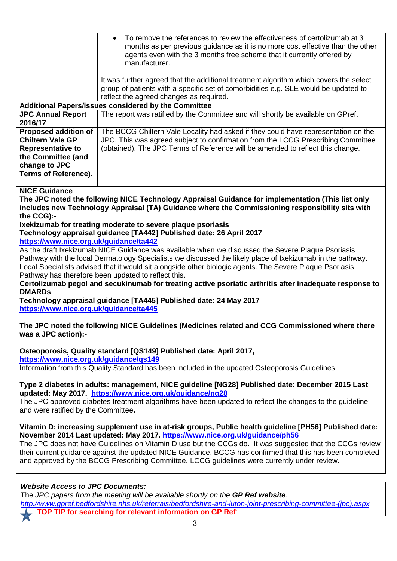|                                                                                                                                                          | To remove the references to review the effectiveness of certolizumab at 3<br>months as per previous guidance as it is no more cost effective than the other<br>agents even with the 3 months free scheme that it currently offered by<br>manufacturer.   |  |
|----------------------------------------------------------------------------------------------------------------------------------------------------------|----------------------------------------------------------------------------------------------------------------------------------------------------------------------------------------------------------------------------------------------------------|--|
|                                                                                                                                                          | It was further agreed that the additional treatment algorithm which covers the select<br>group of patients with a specific set of comorbidities e.g. SLE would be updated to<br>reflect the agreed changes as required.                                  |  |
| Additional Papers/issues considered by the Committee                                                                                                     |                                                                                                                                                                                                                                                          |  |
| <b>JPC Annual Report</b>                                                                                                                                 | The report was ratified by the Committee and will shortly be available on GPref.                                                                                                                                                                         |  |
| 2016/17                                                                                                                                                  |                                                                                                                                                                                                                                                          |  |
| <b>Proposed addition of</b><br><b>Chiltern Vale GP</b><br><b>Representative to</b><br>the Committee (and<br>change to JPC<br><b>Terms of Reference).</b> | The BCCG Chiltern Vale Locality had asked if they could have representation on the<br>JPC. This was agreed subject to confirmation from the LCCG Prescribing Committee<br>(obtained). The JPC Terms of Reference will be amended to reflect this change. |  |

## **NICE Guidance**

**The JPC noted the following NICE Technology Appraisal Guidance for implementation (This list only includes new Technology Appraisal (TA) Guidance where the Commissioning responsibility sits with the CCG):-**

## **Ixekizumab for treating moderate to severe plaque psoriasis Technology appraisal guidance [TA442] Published date: 26 April 2017**

**<https://www.nice.org.uk/guidance/ta442>**

As the draft Ixekizumab NICE Guidance was available when we discussed the Severe Plaque Psoriasis Pathway with the local Dermatology Specialists we discussed the likely place of Ixekizumab in the pathway. Local Specialists advised that it would sit alongside other biologic agents. The Severe Plaque Psoriasis Pathway has therefore been updated to reflect this.

**Certolizumab pegol and secukinumab for treating active psoriatic arthritis after inadequate response to DMARDs**

**Technology appraisal guidance [TA445] Published date: 24 May 2017 <https://www.nice.org.uk/guidance/ta445>**

**The JPC noted the following NICE Guidelines (Medicines related and CCG Commissioned where there was a JPC action):-**

**Osteoporosis, Quality standard [QS149] Published date: April 2017, <https://www.nice.org.uk/guidance/qs149>**

Information from this Quality Standard has been included in the updated Osteoporosis Guidelines.

**Type 2 diabetes in adults: management, NICE guideline [NG28] Published date: December 2015 Last updated: May 2017. <https://www.nice.org.uk/guidance/ng28>**

The JPC approved diabetes treatment algorithms have been updated to reflect the changes to the guideline and were ratified by the Committee**.**

**Vitamin D: increasing supplement use in at-risk groups, Public health guideline [PH56] Published date: November 2014 Last updated: May 2017.<https://www.nice.org.uk/guidance/ph56>**

The JPC does not have Guidelines on Vitamin D use but the CCGs do**.** It was suggested that the CCGs review their current guidance against the updated NICE Guidance. BCCG has confirmed that this has been completed and approved by the BCCG Prescribing Committee. LCCG guidelines were currently under review.

## *Website Access to JPC Documents:*

The *JPC papers from the meeting will be available shortly on the GP Ref website. [http://www.gpref.bedfordshire.nhs.uk/referrals/bedfordshire-and-luton-joint-prescribing-committee-\(jpc\).aspx](http://www.gpref.bedfordshire.nhs.uk/referrals/bedfordshire-and-luton-joint-prescribing-committee-(jpc).aspx) COP TIP for searching for relevant information on GP Ref:*